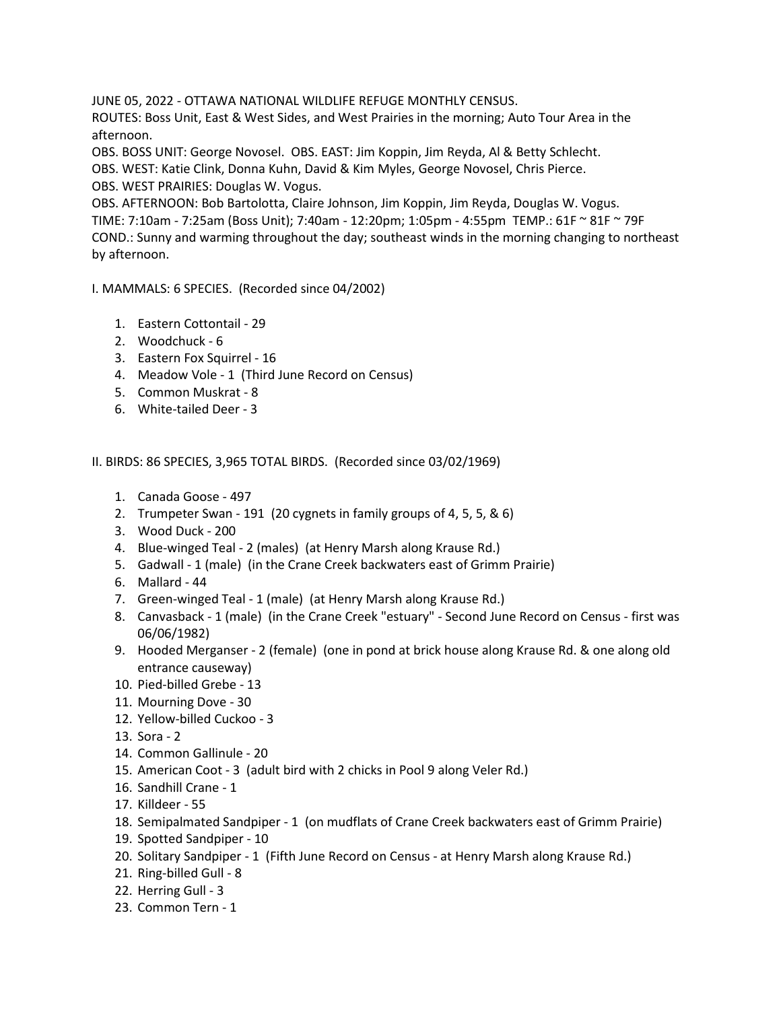JUNE 05, 2022 - OTTAWA NATIONAL WILDLIFE REFUGE MONTHLY CENSUS.

ROUTES: Boss Unit, East & West Sides, and West Prairies in the morning; Auto Tour Area in the afternoon.

OBS. BOSS UNIT: George Novosel. OBS. EAST: Jim Koppin, Jim Reyda, Al & Betty Schlecht. OBS. WEST: Katie Clink, Donna Kuhn, David & Kim Myles, George Novosel, Chris Pierce. OBS. WEST PRAIRIES: Douglas W. Vogus.

OBS. AFTERNOON: Bob Bartolotta, Claire Johnson, Jim Koppin, Jim Reyda, Douglas W. Vogus.

TIME: 7:10am - 7:25am (Boss Unit); 7:40am - 12:20pm; 1:05pm - 4:55pm TEMP.: 61F ~ 81F ~ 79F

COND.: Sunny and warming throughout the day; southeast winds in the morning changing to northeast by afternoon.

I. MAMMALS: 6 SPECIES. (Recorded since 04/2002)

- 1. Eastern Cottontail 29
- 2. Woodchuck 6
- 3. Eastern Fox Squirrel 16
- 4. Meadow Vole 1 (Third June Record on Census)
- 5. Common Muskrat 8
- 6. White-tailed Deer 3

II. BIRDS: 86 SPECIES, 3,965 TOTAL BIRDS. (Recorded since 03/02/1969)

- 1. Canada Goose 497
- 2. Trumpeter Swan 191 (20 cygnets in family groups of 4, 5, 5, & 6)
- 3. Wood Duck 200
- 4. Blue-winged Teal 2 (males) (at Henry Marsh along Krause Rd.)
- 5. Gadwall 1 (male) (in the Crane Creek backwaters east of Grimm Prairie)
- 6. Mallard 44
- 7. Green-winged Teal 1 (male) (at Henry Marsh along Krause Rd.)
- 8. Canvasback 1 (male) (in the Crane Creek "estuary" Second June Record on Census first was 06/06/1982)
- 9. Hooded Merganser 2 (female) (one in pond at brick house along Krause Rd. & one along old entrance causeway)
- 10. Pied-billed Grebe 13
- 11. Mourning Dove 30
- 12. Yellow-billed Cuckoo 3
- 13. Sora 2
- 14. Common Gallinule 20
- 15. American Coot 3 (adult bird with 2 chicks in Pool 9 along Veler Rd.)
- 16. Sandhill Crane 1
- 17. Killdeer 55
- 18. Semipalmated Sandpiper 1 (on mudflats of Crane Creek backwaters east of Grimm Prairie)
- 19. Spotted Sandpiper 10
- 20. Solitary Sandpiper 1 (Fifth June Record on Census at Henry Marsh along Krause Rd.)
- 21. Ring-billed Gull 8
- 22. Herring Gull 3
- 23. Common Tern 1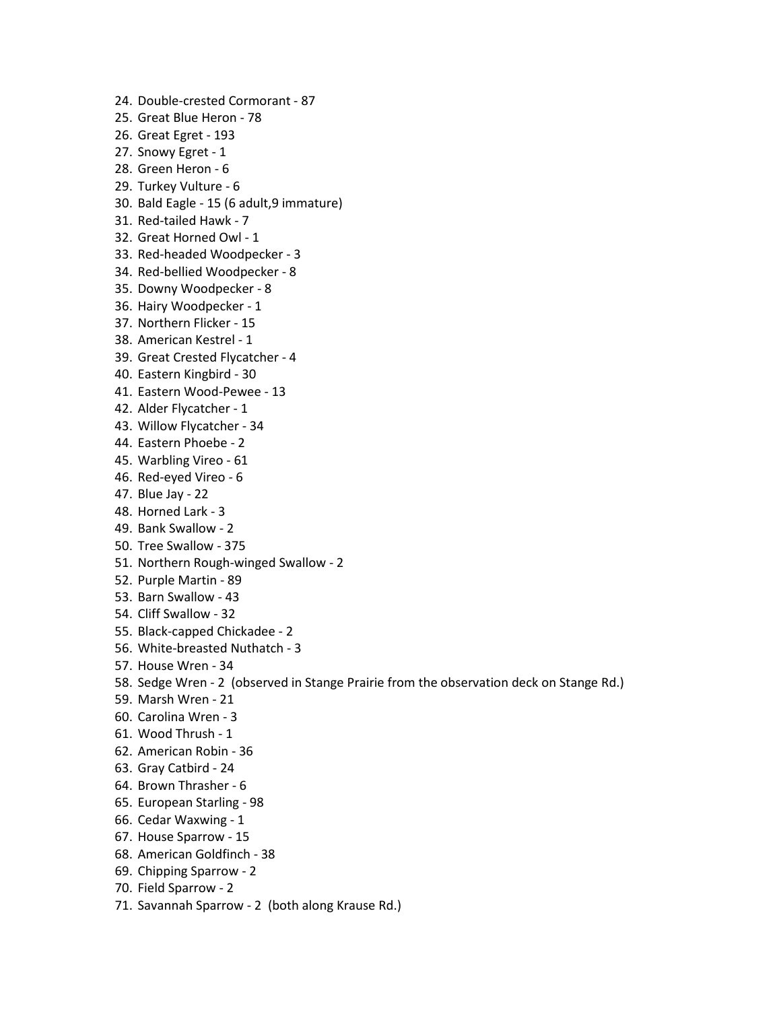- 24. Double-crested Cormorant 87
- 25. Great Blue Heron 78
- 26. Great Egret 193
- 27. Snowy Egret 1
- 28. Green Heron 6
- 29. Turkey Vulture 6
- 30. Bald Eagle 15 (6 adult,9 immature)
- 31. Red-tailed Hawk 7
- 32. Great Horned Owl 1
- 33. Red-headed Woodpecker 3
- 34. Red-bellied Woodpecker 8
- 35. Downy Woodpecker 8
- 36. Hairy Woodpecker 1
- 37. Northern Flicker 15
- 38. American Kestrel 1
- 39. Great Crested Flycatcher 4
- 40. Eastern Kingbird 30
- 41. Eastern Wood-Pewee 13
- 42. Alder Flycatcher 1
- 43. Willow Flycatcher 34
- 44. Eastern Phoebe 2
- 45. Warbling Vireo 61
- 46. Red-eyed Vireo 6
- 47. Blue Jay 22
- 48. Horned Lark 3
- 49. Bank Swallow 2
- 50. Tree Swallow 375
- 51. Northern Rough-winged Swallow 2
- 52. Purple Martin 89
- 53. Barn Swallow 43
- 54. Cliff Swallow 32
- 55. Black-capped Chickadee 2
- 56. White-breasted Nuthatch 3
- 57. House Wren 34
- 58. Sedge Wren 2 (observed in Stange Prairie from the observation deck on Stange Rd.)
- 59. Marsh Wren 21
- 60. Carolina Wren 3
- 61. Wood Thrush 1
- 62. American Robin 36
- 63. Gray Catbird 24
- 64. Brown Thrasher 6
- 65. European Starling 98
- 66. Cedar Waxwing 1
- 67. House Sparrow 15
- 68. American Goldfinch 38
- 69. Chipping Sparrow 2
- 70. Field Sparrow 2
- 71. Savannah Sparrow 2 (both along Krause Rd.)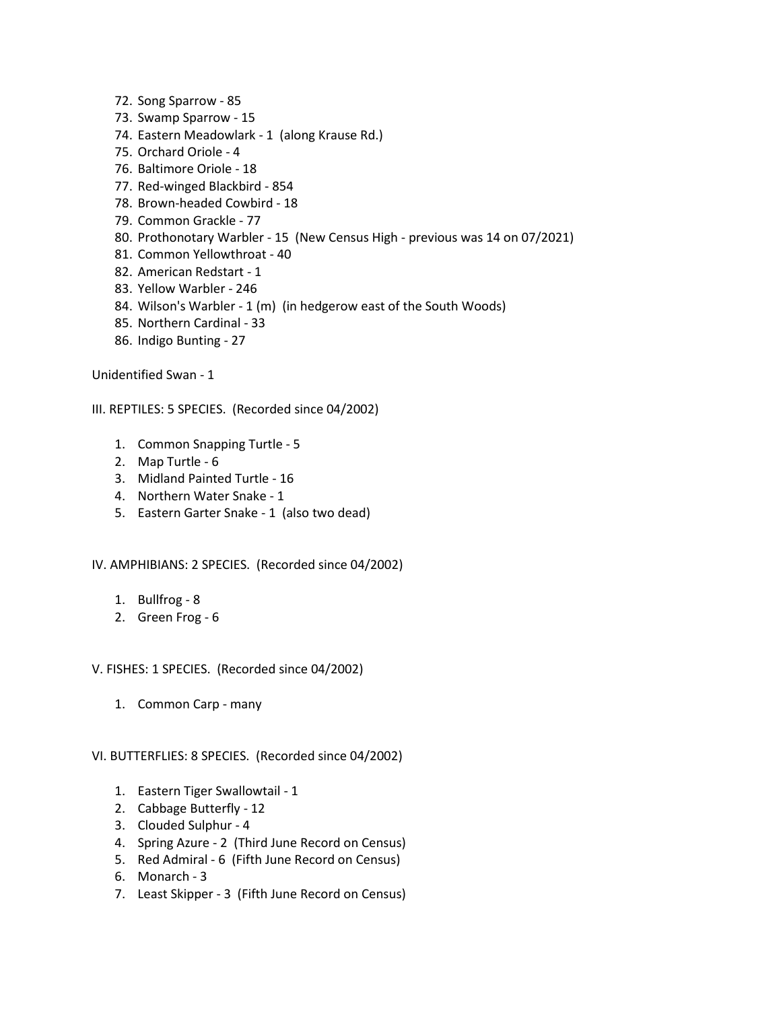- 72. Song Sparrow 85
- 73. Swamp Sparrow 15
- 74. Eastern Meadowlark 1 (along Krause Rd.)
- 75. Orchard Oriole 4
- 76. Baltimore Oriole 18
- 77. Red-winged Blackbird 854
- 78. Brown-headed Cowbird 18
- 79. Common Grackle 77
- 80. Prothonotary Warbler 15 (New Census High previous was 14 on 07/2021)
- 81. Common Yellowthroat 40
- 82. American Redstart 1
- 83. Yellow Warbler 246
- 84. Wilson's Warbler 1 (m) (in hedgerow east of the South Woods)
- 85. Northern Cardinal 33
- 86. Indigo Bunting 27

Unidentified Swan - 1

III. REPTILES: 5 SPECIES. (Recorded since 04/2002)

- 1. Common Snapping Turtle 5
- 2. Map Turtle 6
- 3. Midland Painted Turtle 16
- 4. Northern Water Snake 1
- 5. Eastern Garter Snake 1 (also two dead)

IV. AMPHIBIANS: 2 SPECIES. (Recorded since 04/2002)

- 1. Bullfrog 8
- 2. Green Frog 6

V. FISHES: 1 SPECIES. (Recorded since 04/2002)

1. Common Carp - many

VI. BUTTERFLIES: 8 SPECIES. (Recorded since 04/2002)

- 1. Eastern Tiger Swallowtail 1
- 2. Cabbage Butterfly 12
- 3. Clouded Sulphur 4
- 4. Spring Azure 2 (Third June Record on Census)
- 5. Red Admiral 6 (Fifth June Record on Census)
- 6. Monarch 3
- 7. Least Skipper 3 (Fifth June Record on Census)